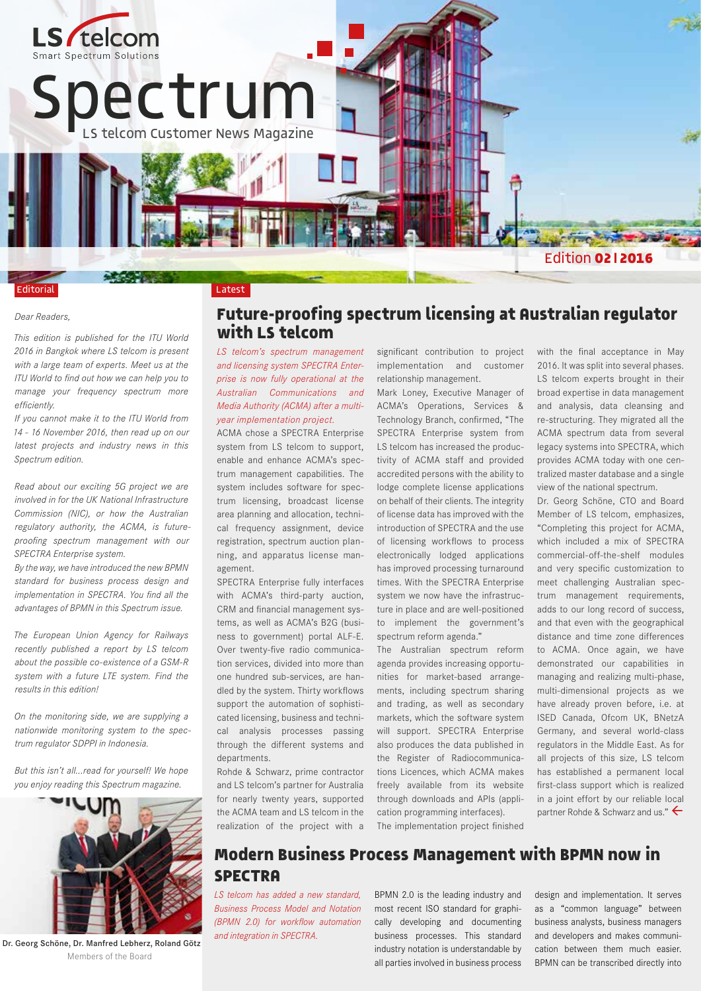

#### *Dear Readers,*

*This edition is published for the ITU World 2016 in Bangkok where LS telcom is present with a large team of experts. Meet us at the ITU World to find out how we can help you to manage your frequency spectrum more efficiently.* 

*If you cannot make it to the ITU World from 14 - 16 November 2016, then read up on our latest projects and industry news in this Spectrum edition.*

*Read about our exciting 5G project we are involved in for the UK National Infrastructure Commission (NIC), or how the Australian regulatory authority, the ACMA, is futureproofing spectrum management with our SPECTRA Enterprise system.* 

*By the way, we have introduced the new BPMN standard for business process design and implementation in SPECTRA. You find all the advantages of BPMN in this Spectrum issue.* 

*The European Union Agency for Railways recently published a report by LS telcom about the possible co-existence of a GSM-R system with a future LTE system. Find the results in this edition!*

*On the monitoring side, we are supplying a nationwide monitoring system to the spectrum regulator SDPPI in Indonesia.* 

*But this isn't all…read for yourself! We hope you enjoy reading this Spectrum magazine.* 



Dr. Georg Schöne, Dr. Manfred Lebherz, Roland Götz Members of the Board

### **Future-proofing spectrum licensing at Australian regulator with LS telcom**

*LS telcom's spectrum management and licensing system SPECTRA Enterprise is now fully operational at the Australian Communications and Media Authority (ACMA) after a multiyear implementation project.*

ACMA chose a SPECTRA Enterprise system from LS telcom to support, enable and enhance ACMA's spectrum management capabilities. The system includes software for spectrum licensing, broadcast license area planning and allocation, technical frequency assignment, device registration, spectrum auction planning, and apparatus license management.

SPECTRA Enterprise fully interfaces with ACMA's third-party auction, CRM and financial management systems, as well as ACMA's B2G (business to government) portal ALF-E. Over twenty-five radio communication services, divided into more than one hundred sub-services, are handled by the system. Thirty workflows support the automation of sophisticated licensing, business and technical analysis processes passing through the different systems and departments.

Rohde & Schwarz, prime contractor and LS telcom's partner for Australia for nearly twenty years, supported the ACMA team and LS telcom in the realization of the project with a significant contribution to project implementation and customer relationship management.

Mark Loney, Executive Manager of ACMA's Operations, Services & Technology Branch, confirmed, "The SPECTRA Enterprise system from LS telcom has increased the productivity of ACMA staff and provided accredited persons with the ability to lodge complete license applications on behalf of their clients. The integrity of license data has improved with the introduction of SPECTRA and the use of licensing workflows to process electronically lodged applications has improved processing turnaround times. With the SPECTRA Enterprise system we now have the infrastructure in place and are well-positioned to implement the government's spectrum reform agenda."

The Australian spectrum reform agenda provides increasing opportunities for market-based arrangements, including spectrum sharing and trading, as well as secondary markets, which the software system will support. SPECTRA Enterprise also produces the data published in the Register of Radiocommunications Licences, which ACMA makes freely available from its website through downloads and APIs (application programming interfaces).

The implementation project finished

with the final acceptance in May 2016. It was split into several phases. LS telcom experts brought in their broad expertise in data management and analysis, data cleansing and re-structuring. They migrated all the ACMA spectrum data from several legacy systems into SPECTRA, which provides ACMA today with one centralized master database and a single view of the national spectrum.

Dr. Georg Schöne, CTO and Board Member of LS telcom, emphasizes, "Completing this project for ACMA, which included a mix of SPECTRA commercial-off-the-shelf modules and very specific customization to meet challenging Australian spectrum management requirements, adds to our long record of success, and that even with the geographical distance and time zone differences to ACMA. Once again, we have demonstrated our capabilities in managing and realizing multi-phase, multi-dimensional projects as we have already proven before, i.e. at ISED Canada, Ofcom UK, BNetzA Germany, and several world-class regulators in the Middle East. As for all projects of this size, LS telcom has established a permanent local first-class support which is realized in a joint effort by our reliable local partner Rohde & Schwarz and us."  $\leftarrow$ 

## **Modern Business Process Management with BPMN now in SPECTRA**

*LS telcom has added a new standard, Business Process Model and Notation (BPMN 2.0) for workflow automation and integration in SPECTRA.* 

BPMN 2.0 is the leading industry and most recent ISO standard for graphically developing and documenting business processes. This standard industry notation is understandable by all parties involved in business process

design and implementation. It serves as a "common language" between business analysts, business managers and developers and makes communication between them much easier. BPMN can be transcribed directly into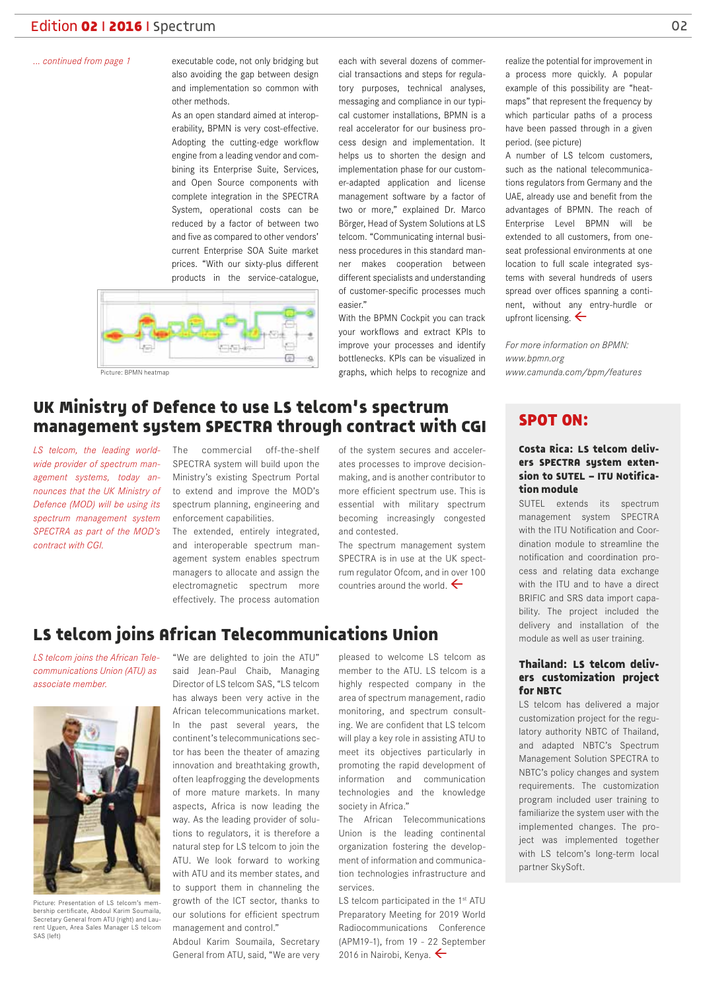#### *... continued from page 1*

executable code, not only bridging but also avoiding the gap between design and implementation so common with other methods.

As an open standard aimed at interoperability, BPMN is very cost-effective. Adopting the cutting-edge workflow engine from a leading vendor and combining its Enterprise Suite, Services, and Open Source components with complete integration in the SPECTRA System, operational costs can be reduced by a factor of between two and five as compared to other vendors' current Enterprise SOA Suite market prices. "With our sixty-plus different products in the service-catalogue,



each with several dozens of commercial transactions and steps for regulatory purposes, technical analyses, messaging and compliance in our typical customer installations, BPMN is a real accelerator for our business process design and implementation. It helps us to shorten the design and implementation phase for our customer-adapted application and license management software by a factor of two or more," explained Dr. Marco Börger, Head of System Solutions at LS telcom. "Communicating internal business procedures in this standard manner makes cooperation between different specialists and understanding of customer-specific processes much easier."

With the BPMN Cockpit you can track your workflows and extract KPIs to improve your processes and identify bottlenecks. KPIs can be visualized in graphs, which helps to recognize and

realize the potential for improvement in a process more quickly. A popular example of this possibility are "heatmaps" that represent the frequency by which particular paths of a process have been passed through in a given period. (see picture)

A number of LS telcom customers, such as the national telecommunications regulators from Germany and the UAE, already use and benefit from the advantages of BPMN. The reach of Enterprise Level BPMN will be extended to all customers, from oneseat professional environments at one location to full scale integrated systems with several hundreds of users spread over offices spanning a continent, without any entry-hurdle or upfront licensing.  $\leftarrow$ 

*For more information on BPMN: www.bpmn.org www.camunda.com/bpm/features*

# **UK Ministry of Defence to use LS telcom's spectrum management system SPECTRA through contract with CGI**

*LS telcom, the leading worldwide provider of spectrum management systems, today an-Defence (MOD) will be using its spectrum management system contract with CGI.* 

*nounces that the UK Ministry of*  to extend and improve the MOD's The commercial off-the-shelf SPECTRA system will build upon the Ministry's existing Spectrum Portal spectrum planning, engineering and enforcement capabilities.

SPECTRA as part of the MOD's The extended, entirely integrated, and interoperable spectrum management system enables spectrum managers to allocate and assign the electromagnetic spectrum more effectively. The process automation

of the system secures and accelerates processes to improve decisionmaking, and is another contributor to more efficient spectrum use. This is essential with military spectrum becoming increasingly congested and contested.

The spectrum management system SPECTRA is in use at the UK spectrum regulator Ofcom, and in over 100 countries around the world.  $\leftarrow$ 

# **LS telcom joins African Telecommunications Union**

*LS telcom joins the African Telecommunications Union (ATU) as associate member.* 



Picture: Presentation of LS telcom's membership certificate, Abdoul Karim Soumaila, Secretary General from ATU (right) and Laurent Uguen, Area Sales Manager LS telcom SAS (left)

"We are delighted to join the ATU" said Jean-Paul Chaib, Managing Director of LS telcom SAS, "LS telcom has always been very active in the African telecommunications market. In the past several years, the continent's telecommunications sector has been the theater of amazing innovation and breathtaking growth, often leapfrogging the developments of more mature markets. In many aspects, Africa is now leading the way. As the leading provider of solutions to regulators, it is therefore a natural step for LS telcom to join the ATU. We look forward to working with ATU and its member states, and to support them in channeling the growth of the ICT sector, thanks to our solutions for efficient spectrum management and control."

Abdoul Karim Soumaila, Secretary General from ATU, said, "We are very

pleased to welcome LS telcom as member to the ATU. LS telcom is a highly respected company in the area of spectrum management, radio monitoring, and spectrum consulting. We are confident that LS telcom will play a key role in assisting ATU to meet its objectives particularly in promoting the rapid development of information and communication technologies and the knowledge society in Africa."

The African Telecommunications Union is the leading continental organization fostering the development of information and communication technologies infrastructure and services.

LS telcom participated in the 1<sup>st</sup> ATU Preparatory Meeting for 2019 World Radiocommunications Conference (APM19-1), from 19 - 22 September 2016 in Nairobi, Kenya.  $\leftarrow$ 

#### **SPOT ON:**

#### **Costa Rica: LS telcom delivers SPECTRA system extension to SUTEL – ITU Notification module**

SUTEL extends its spectrum management system SPECTRA with the ITU Notification and Coordination module to streamline the notification and coordination process and relating data exchange with the ITU and to have a direct BRIFIC and SRS data import capability. The project included the delivery and installation of the module as well as user training.

#### **Thailand: LS telcom delivers customization project for NBTC**

LS telcom has delivered a major customization project for the regulatory authority NBTC of Thailand, and adapted NBTC's Spectrum Management Solution SPECTRA to NBTC's policy changes and system requirements. The customization program included user training to familiarize the system user with the implemented changes. The project was implemented together with LS telcom's long-term local partner SkySoft.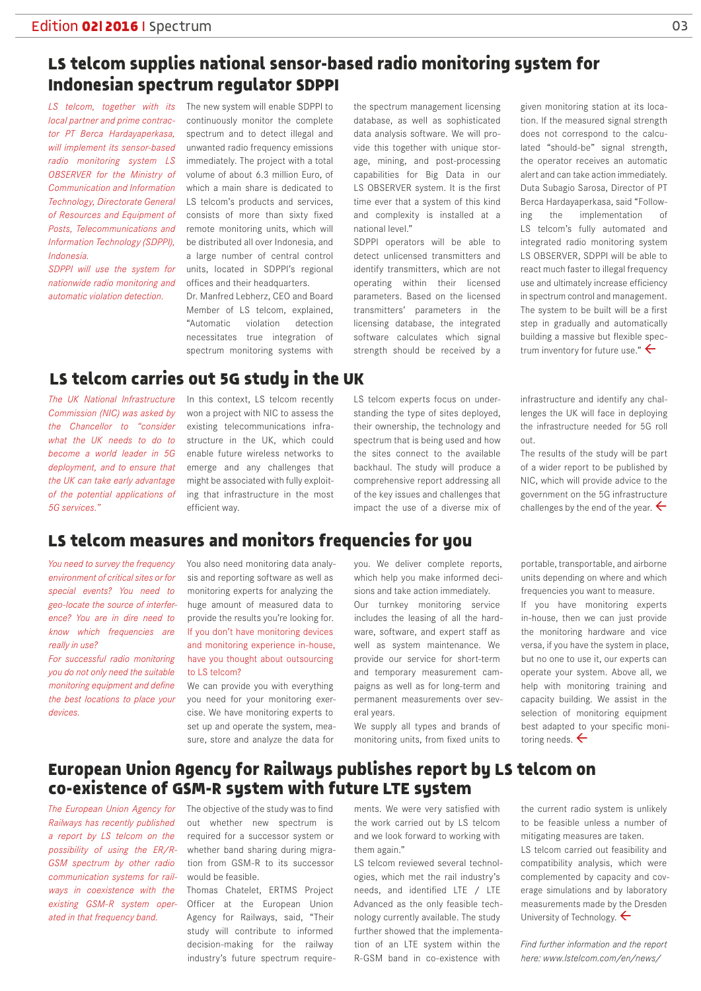# **LS telcom supplies national sensor-based radio monitoring system for Indonesian spectrum regulator SDPPI**

*LS telcom, together with its local partner and prime contractor PT Berca Hardayaperkasa, will implement its sensor-based radio monitoring system LS OBSERVER for the Ministry of Communication and Information Technology, Directorate General of Resources and Equipment of Posts, Telecommunications and Information Technology (SDPPI), Indonesia.* 

*SDPPI will use the system for nationwide radio monitoring and automatic violation detection.* 

*The UK National Infrastructure Commission (NIC) was asked by the Chancellor to "consider what the UK needs to do to become a world leader in 5G deployment, and to ensure that the UK can take early advantage of the potential applications of*  The new system will enable SDPPI to continuously monitor the complete spectrum and to detect illegal and unwanted radio frequency emissions immediately. The project with a total volume of about 6.3 million Euro, of which a main share is dedicated to LS telcom's products and services, consists of more than sixty fixed remote monitoring units, which will be distributed all over Indonesia, and a large number of central control units, located in SDPPI's regional offices and their headquarters.

Dr. Manfred Lebherz, CEO and Board Member of LS telcom, explained, "Automatic violation detection necessitates true integration of spectrum monitoring systems with

In this context, LS telcom recently won a project with NIC to assess the existing telecommunications infrastructure in the UK, which could enable future wireless networks to emerge and any challenges that might be associated with fully exploiting that infrastructure in the most

the spectrum management licensing database, as well as sophisticated data analysis software. We will provide this together with unique storage, mining, and post-processing capabilities for Big Data in our LS OBSERVER system. It is the first time ever that a system of this kind and complexity is installed at a national level."

SDPPI operators will be able to detect unlicensed transmitters and identify transmitters, which are not operating within their licensed parameters. Based on the licensed transmitters' parameters in the licensing database, the integrated software calculates which signal strength should be received by a

LS telcom experts focus on understanding the type of sites deployed, their ownership, the technology and spectrum that is being used and how the sites connect to the available backhaul. The study will produce a comprehensive report addressing all of the key issues and challenges that impact the use of a diverse mix of

tion. If the measured signal strength does not correspond to the calculated "should-be" signal strength, the operator receives an automatic alert and can take action immediately. Duta Subagio Sarosa, Director of PT Berca Hardayaperkasa, said "Following the implementation of LS telcom's fully automated and integrated radio monitoring system LS OBSERVER, SDPPI will be able to react much faster to illegal frequency use and ultimately increase efficiency in spectrum control and management. The system to be built will be a first step in gradually and automatically building a massive but flexible spectrum inventory for future use."  $\leftarrow$ 

given monitoring station at its loca-

infrastructure and identify any challenges the UK will face in deploying the infrastructure needed for 5G roll out.

The results of the study will be part of a wider report to be published by NIC, which will provide advice to the government on the 5G infrastructure challenges by the end of the year.  $\leftarrow$ 

# **LS telcom measures and monitors frequencies for you**

efficient way.

**LS telcom carries out 5G study in the UK**

*You need to survey the frequency environment of critical sites or for special events? You need to geo-locate the source of interference? You are in dire need to know which frequencies are really in use?* 

*5G services."*

*For successful radio monitoring you do not only need the suitable monitoring equipment and define the best locations to place your devices.* 

You also need monitoring data analysis and reporting software as well as monitoring experts for analyzing the huge amount of measured data to provide the results you're looking for. If you don't have monitoring devices and monitoring experience in-house, have you thought about outsourcing to LS telcom?

We can provide you with everything you need for your monitoring exercise. We have monitoring experts to set up and operate the system, measure, store and analyze the data for you. We deliver complete reports, which help you make informed decisions and take action immediately.

Our turnkey monitoring service includes the leasing of all the hardware, software, and expert staff as well as system maintenance. We provide our service for short-term and temporary measurement campaigns as well as for long-term and permanent measurements over several years.

We supply all types and brands of monitoring units, from fixed units to

portable, transportable, and airborne units depending on where and which frequencies you want to measure.

If you have monitoring experts in-house, then we can just provide the monitoring hardware and vice versa, if you have the system in place, but no one to use it, our experts can operate your system. Above all, we help with monitoring training and capacity building. We assist in the selection of monitoring equipment best adapted to your specific monitoring needs.  $\leftarrow$ 

### **European Union Agency for Railways publishes report by LS telcom on co-existence of GSM-R system with future LTE system**

*The European Union Agency for Railways has recently published a report by LS telcom on the possibility of using the ER/R-GSM spectrum by other radio communication systems for railways in coexistence with the existing GSM-R system operated in that frequency band.* 

The objective of the study was to find out whether new spectrum is required for a successor system or whether band sharing during migration from GSM-R to its successor would be feasible.

Thomas Chatelet, ERTMS Project Officer at the European Union Agency for Railways, said, "Their study will contribute to informed decision-making for the railway industry's future spectrum require-

ments. We were very satisfied with the work carried out by LS telcom and we look forward to working with them again."

LS telcom reviewed several technologies, which met the rail industry's needs, and identified LTE / LTE Advanced as the only feasible technology currently available. The study further showed that the implementation of an LTE system within the R-GSM band in co-existence with

the current radio system is unlikely to be feasible unless a number of mitigating measures are taken.

LS telcom carried out feasibility and compatibility analysis, which were complemented by capacity and coverage simulations and by laboratory measurements made by the Dresden University of Technology.

*Find further information and the report here: www.lstelcom.com/en/news/*